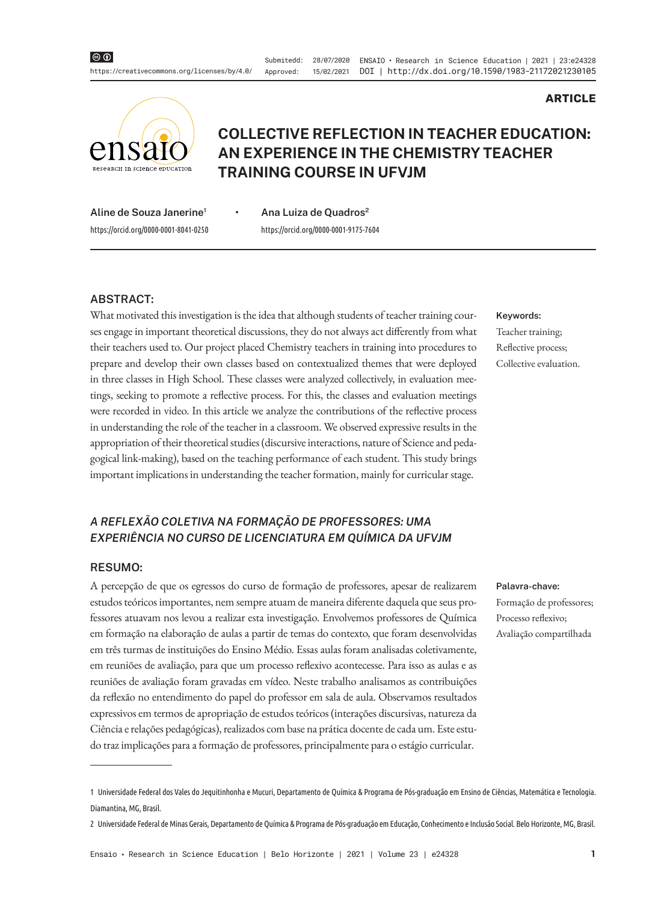Submitedd: 28/07/2020 ENSAIO • Research in Science Education | 2021 | 23:e24328 Approved: 15/02/2021 DOI | http://dx.doi.org/10.1590/1983-21172021230105



# **COLLECTIVE REFLECTION IN TEACHER EDUCATION: AN EXPERIENCE IN THE CHEMISTRY TEACHER TRAINING COURSE IN UFVJM**

**Aline de Souza Janerine1 •** https://orcid.org/0000-0001-8041-0250

**Ana Luiza de Quadros2** https://orcid.org/0000-0001-9175-7604

#### **ABSTRACT:**

What motivated this investigation is the idea that although students of teacher training courses engage in important theoretical discussions, they do not always act differently from what their teachers used to. Our project placed Chemistry teachers in training into procedures to prepare and develop their own classes based on contextualized themes that were deployed in three classes in High School. These classes were analyzed collectively, in evaluation meetings, seeking to promote a reflective process. For this, the classes and evaluation meetings were recorded in video. In this article we analyze the contributions of the reflective process in understanding the role of the teacher in a classroom. We observed expressive results in the appropriation of their theoretical studies (discursive interactions, nature of Science and pedagogical link-making), based on the teaching performance of each student. This study brings important implications in understanding the teacher formation, mainly for curricular stage.

## *A REFLEXÃO COLETIVA NA FORMAÇÃO DE PROFESSORES: UMA EXPERIÊNCIA NO CURSO DE LICENCIATURA EM QUÍMICA DA UFVJM*

#### **RESUMO:**

A percepção de que os egressos do curso de formação de professores, apesar de realizarem estudos teóricos importantes, nem sempre atuam de maneira diferente daquela que seus professores atuavam nos levou a realizar esta investigação. Envolvemos professores de Química em formação na elaboração de aulas a partir de temas do contexto, que foram desenvolvidas em três turmas de instituições do Ensino Médio. Essas aulas foram analisadas coletivamente, em reuniões de avaliação, para que um processo reflexivo acontecesse. Para isso as aulas e as reuniões de avaliação foram gravadas em vídeo. Neste trabalho analisamos as contribuições da reflexão no entendimento do papel do professor em sala de aula. Observamos resultados expressivos em termos de apropriação de estudos teóricos (interações discursivas, natureza da Ciência e relações pedagógicas), realizados com base na prática docente de cada um. Este estudo traz implicações para a formação de professores, principalmente para o estágio curricular.

**Keywords:** Teacher training; Reflective process; Collective evaluation.

**ARTICLE**

#### **Palavra-chave:**

Formação de professores; Processo reflexivo; Avaliação compartilhada

<sup>1</sup> Universidade Federal dos Vales do Jequitinhonha e Mucuri, Departamento de Química & Programa de Pós-graduação em Ensino de Ciências, Matemática e Tecnologia. Diamantina, MG, Brasil.

<sup>2</sup> Universidade Federal de Minas Gerais, Departamento de Química & Programa de Pós-graduação em Educação, Conhecimento e Inclusão Social. Belo Horizonte, MG, Brasil.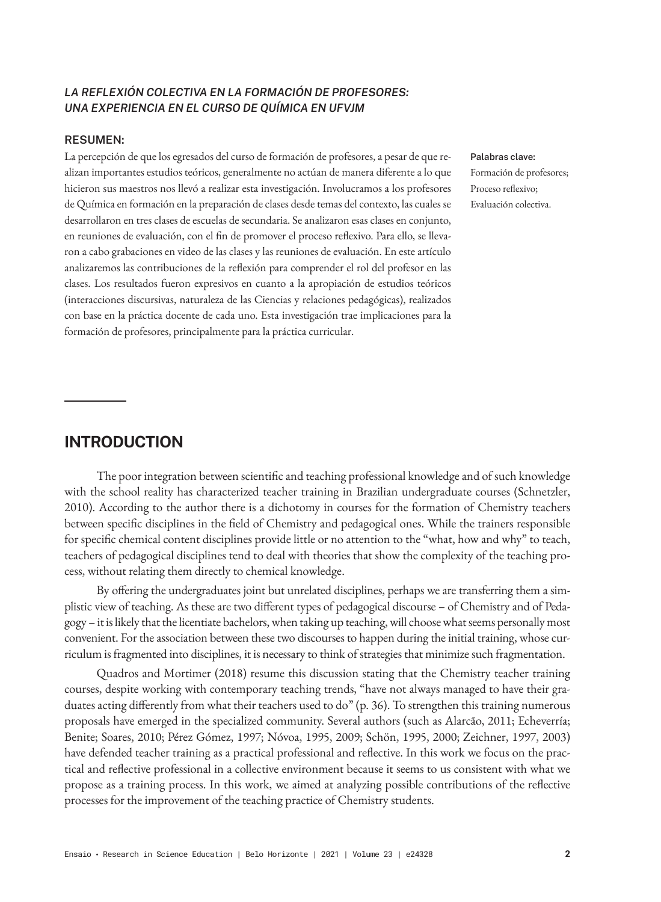## *LA REFLEXIÓN COLECTIVA EN LA FORMACIÓN DE PROFESORES: UNA EXPERIENCIA EN EL CURSO DE QUÍMICA EN UFVJM*

#### **RESUMEN:**

La percepción de que los egresados del curso de formación de profesores, a pesar de que realizan importantes estudios teóricos, generalmente no actúan de manera diferente a lo que hicieron sus maestros nos llevó a realizar esta investigación. Involucramos a los profesores de Química en formación en la preparación de clases desde temas del contexto, las cuales se desarrollaron en tres clases de escuelas de secundaria. Se analizaron esas clases en conjunto, en reuniones de evaluación, con el fin de promover el proceso reflexivo. Para ello, se llevaron a cabo grabaciones en video de las clases y las reuniones de evaluación. En este artículo analizaremos las contribuciones de la reflexión para comprender el rol del profesor en las clases. Los resultados fueron expresivos en cuanto a la apropiación de estudios teóricos (interacciones discursivas, naturaleza de las Ciencias y relaciones pedagógicas), realizados con base en la práctica docente de cada uno. Esta investigación trae implicaciones para la formación de profesores, principalmente para la práctica curricular.

#### **Palabras clave:**

Formación de profesores; Proceso reflexivo; Evaluación colectiva.

## **INTRODUCTION**

The poor integration between scientific and teaching professional knowledge and of such knowledge with the school reality has characterized teacher training in Brazilian undergraduate courses (Schnetzler, 2010). According to the author there is a dichotomy in courses for the formation of Chemistry teachers between specific disciplines in the field of Chemistry and pedagogical ones. While the trainers responsible for specific chemical content disciplines provide little or no attention to the "what, how and why" to teach, teachers of pedagogical disciplines tend to deal with theories that show the complexity of the teaching process, without relating them directly to chemical knowledge.

By offering the undergraduates joint but unrelated disciplines, perhaps we are transferring them a simplistic view of teaching. As these are two different types of pedagogical discourse – of Chemistry and of Pedagogy – it is likely that the licentiate bachelors, when taking up teaching, will choose what seems personally most convenient. For the association between these two discourses to happen during the initial training, whose curriculum is fragmented into disciplines, it is necessary to think of strategies that minimize such fragmentation.

Quadros and Mortimer (2018) resume this discussion stating that the Chemistry teacher training courses, despite working with contemporary teaching trends, "have not always managed to have their graduates acting differently from what their teachers used to do" (p. 36). To strengthen this training numerous proposals have emerged in the specialized community. Several authors (such as Alarcão, 2011; Echeverría; Benite; Soares, 2010; Pérez Gómez, 1997; Nóvoa, 1995, 2009; Schön, 1995, 2000; Zeichner, 1997, 2003) have defended teacher training as a practical professional and reflective. In this work we focus on the practical and reflective professional in a collective environment because it seems to us consistent with what we propose as a training process. In this work, we aimed at analyzing possible contributions of the reflective processes for the improvement of the teaching practice of Chemistry students.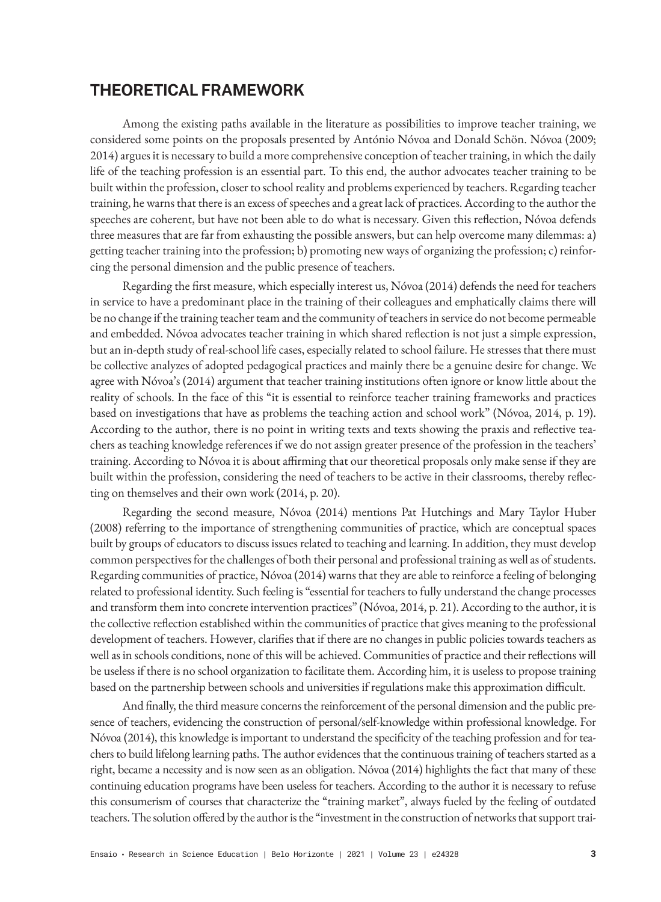# **THEORETICAL FRAMEWORK**

Among the existing paths available in the literature as possibilities to improve teacher training, we considered some points on the proposals presented by António Nóvoa and Donald Schön. Nóvoa (2009; 2014) argues it is necessary to build a more comprehensive conception of teacher training, in which the daily life of the teaching profession is an essential part. To this end, the author advocates teacher training to be built within the profession, closer to school reality and problems experienced by teachers. Regarding teacher training, he warns that there is an excess of speeches and a great lack of practices. According to the author the speeches are coherent, but have not been able to do what is necessary. Given this reflection, Nóvoa defends three measures that are far from exhausting the possible answers, but can help overcome many dilemmas: a) getting teacher training into the profession; b) promoting new ways of organizing the profession; c) reinforcing the personal dimension and the public presence of teachers.

Regarding the first measure, which especially interest us, Nóvoa (2014) defends the need for teachers in service to have a predominant place in the training of their colleagues and emphatically claims there will be no change if the training teacher team and the community of teachers in service do not become permeable and embedded. Nóvoa advocates teacher training in which shared reflection is not just a simple expression, but an in-depth study of real-school life cases, especially related to school failure. He stresses that there must be collective analyzes of adopted pedagogical practices and mainly there be a genuine desire for change. We agree with Nóvoa's (2014) argument that teacher training institutions often ignore or know little about the reality of schools. In the face of this "it is essential to reinforce teacher training frameworks and practices based on investigations that have as problems the teaching action and school work" (Nóvoa, 2014, p. 19). According to the author, there is no point in writing texts and texts showing the praxis and reflective teachers as teaching knowledge references if we do not assign greater presence of the profession in the teachers' training. According to Nóvoa it is about affirming that our theoretical proposals only make sense if they are built within the profession, considering the need of teachers to be active in their classrooms, thereby reflecting on themselves and their own work (2014, p. 20).

Regarding the second measure, Nóvoa (2014) mentions Pat Hutchings and Mary Taylor Huber (2008) referring to the importance of strengthening communities of practice, which are conceptual spaces built by groups of educators to discuss issues related to teaching and learning. In addition, they must develop common perspectives for the challenges of both their personal and professional training as well as of students. Regarding communities of practice, Nóvoa (2014) warns that they are able to reinforce a feeling of belonging related to professional identity. Such feeling is "essential for teachers to fully understand the change processes and transform them into concrete intervention practices" (Nóvoa, 2014, p. 21). According to the author, it is the collective reflection established within the communities of practice that gives meaning to the professional development of teachers. However, clarifies that if there are no changes in public policies towards teachers as well as in schools conditions, none of this will be achieved. Communities of practice and their reflections will be useless if there is no school organization to facilitate them. According him, it is useless to propose training based on the partnership between schools and universities if regulations make this approximation difficult.

And finally, the third measure concerns the reinforcement of the personal dimension and the public presence of teachers, evidencing the construction of personal/self-knowledge within professional knowledge. For Nóvoa (2014), this knowledge is important to understand the specificity of the teaching profession and for teachers to build lifelong learning paths. The author evidences that the continuous training of teachers started as a right, became a necessity and is now seen as an obligation. Nóvoa (2014) highlights the fact that many of these continuing education programs have been useless for teachers. According to the author it is necessary to refuse this consumerism of courses that characterize the "training market", always fueled by the feeling of outdated teachers. The solution offered by the author is the "investment in the construction of networks that support trai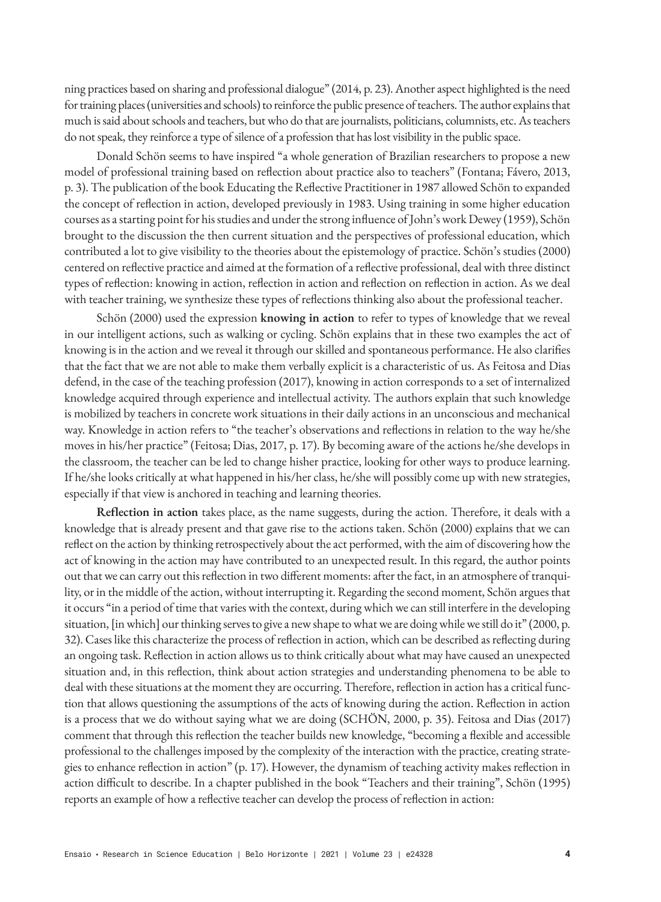ning practices based on sharing and professional dialogue" (2014, p. 23). Another aspect highlighted is the need for training places (universities and schools) to reinforce the public presence of teachers. The author explains that much is said about schools and teachers, but who do that are journalists, politicians, columnists, etc. As teachers do not speak, they reinforce a type of silence of a profession that has lost visibility in the public space.

Donald Schön seems to have inspired "a whole generation of Brazilian researchers to propose a new model of professional training based on reflection about practice also to teachers" (Fontana; Fávero, 2013, p. 3). The publication of the book Educating the Reflective Practitioner in 1987 allowed Schön to expanded the concept of reflection in action, developed previously in 1983. Using training in some higher education courses as a starting point for his studies and under the strong influence of John's work Dewey (1959), Schön brought to the discussion the then current situation and the perspectives of professional education, which contributed a lot to give visibility to the theories about the epistemology of practice. Schön's studies (2000) centered on reflective practice and aimed at the formation of a reflective professional, deal with three distinct types of reflection: knowing in action, reflection in action and reflection on reflection in action. As we deal with teacher training, we synthesize these types of reflections thinking also about the professional teacher.

Schön (2000) used the expression **knowing in action** to refer to types of knowledge that we reveal in our intelligent actions, such as walking or cycling. Schön explains that in these two examples the act of knowing is in the action and we reveal it through our skilled and spontaneous performance. He also clarifies that the fact that we are not able to make them verbally explicit is a characteristic of us. As Feitosa and Dias defend, in the case of the teaching profession (2017), knowing in action corresponds to a set of internalized knowledge acquired through experience and intellectual activity. The authors explain that such knowledge is mobilized by teachers in concrete work situations in their daily actions in an unconscious and mechanical way. Knowledge in action refers to "the teacher's observations and reflections in relation to the way he/she moves in his/her practice" (Feitosa; Dias, 2017, p. 17). By becoming aware of the actions he/she develops in the classroom, the teacher can be led to change hisher practice, looking for other ways to produce learning. If he/she looks critically at what happened in his/her class, he/she will possibly come up with new strategies, especially if that view is anchored in teaching and learning theories.

**Reflection in action** takes place, as the name suggests, during the action. Therefore, it deals with a knowledge that is already present and that gave rise to the actions taken. Schön (2000) explains that we can reflect on the action by thinking retrospectively about the act performed, with the aim of discovering how the act of knowing in the action may have contributed to an unexpected result. In this regard, the author points out that we can carry out this reflection in two different moments: after the fact, in an atmosphere of tranquility, or in the middle of the action, without interrupting it. Regarding the second moment, Schön argues that it occurs "in a period of time that varies with the context, during which we can still interfere in the developing situation, [in which] our thinking serves to give a new shape to what we are doing while we still do it" (2000, p. 32). Cases like this characterize the process of reflection in action, which can be described as reflecting during an ongoing task. Reflection in action allows us to think critically about what may have caused an unexpected situation and, in this reflection, think about action strategies and understanding phenomena to be able to deal with these situations at the moment they are occurring. Therefore, reflection in action has a critical function that allows questioning the assumptions of the acts of knowing during the action. Reflection in action is a process that we do without saying what we are doing (SCHÖN, 2000, p. 35). Feitosa and Dias (2017) comment that through this reflection the teacher builds new knowledge, "becoming a flexible and accessible professional to the challenges imposed by the complexity of the interaction with the practice, creating strategies to enhance reflection in action" (p. 17). However, the dynamism of teaching activity makes reflection in action difficult to describe. In a chapter published in the book "Teachers and their training", Schön (1995) reports an example of how a reflective teacher can develop the process of reflection in action: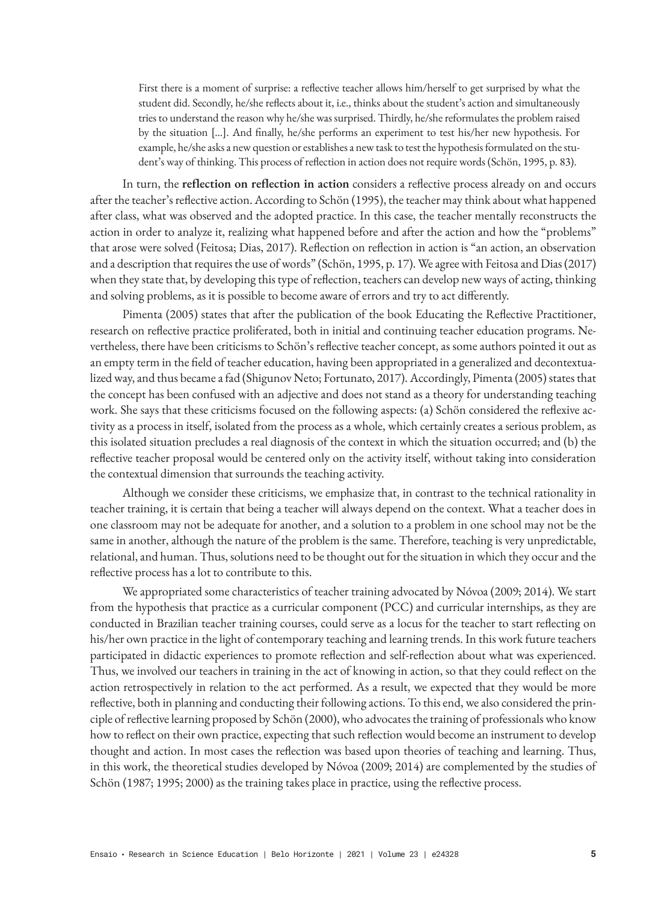First there is a moment of surprise: a reflective teacher allows him/herself to get surprised by what the student did. Secondly, he/she reflects about it, i.e., thinks about the student's action and simultaneously tries to understand the reason why he/she was surprised. Thirdly, he/she reformulates the problem raised by the situation [...]. And finally, he/she performs an experiment to test his/her new hypothesis. For example, he/she asks a new question or establishes a new task to test the hypothesis formulated on the student's way of thinking. This process of reflection in action does not require words (Schön, 1995, p. 83).

In turn, the **reflection on reflection in action** considers a reflective process already on and occurs after the teacher's reflective action. According to Schön (1995), the teacher may think about what happened after class, what was observed and the adopted practice. In this case, the teacher mentally reconstructs the action in order to analyze it, realizing what happened before and after the action and how the "problems" that arose were solved (Feitosa; Dias, 2017). Reflection on reflection in action is "an action, an observation and a description that requires the use of words" (Schön, 1995, p. 17). We agree with Feitosa and Dias (2017) when they state that, by developing this type of reflection, teachers can develop new ways of acting, thinking and solving problems, as it is possible to become aware of errors and try to act differently.

Pimenta (2005) states that after the publication of the book Educating the Reflective Practitioner, research on reflective practice proliferated, both in initial and continuing teacher education programs. Nevertheless, there have been criticisms to Schön's reflective teacher concept, as some authors pointed it out as an empty term in the field of teacher education, having been appropriated in a generalized and decontextualized way, and thus became a fad (Shigunov Neto; Fortunato, 2017). Accordingly, Pimenta (2005) states that the concept has been confused with an adjective and does not stand as a theory for understanding teaching work. She says that these criticisms focused on the following aspects: (a) Schön considered the reflexive activity as a process in itself, isolated from the process as a whole, which certainly creates a serious problem, as this isolated situation precludes a real diagnosis of the context in which the situation occurred; and (b) the reflective teacher proposal would be centered only on the activity itself, without taking into consideration the contextual dimension that surrounds the teaching activity.

Although we consider these criticisms, we emphasize that, in contrast to the technical rationality in teacher training, it is certain that being a teacher will always depend on the context. What a teacher does in one classroom may not be adequate for another, and a solution to a problem in one school may not be the same in another, although the nature of the problem is the same. Therefore, teaching is very unpredictable, relational, and human. Thus, solutions need to be thought out for the situation in which they occur and the reflective process has a lot to contribute to this.

We appropriated some characteristics of teacher training advocated by Nóvoa (2009; 2014). We start from the hypothesis that practice as a curricular component (PCC) and curricular internships, as they are conducted in Brazilian teacher training courses, could serve as a locus for the teacher to start reflecting on his/her own practice in the light of contemporary teaching and learning trends. In this work future teachers participated in didactic experiences to promote reflection and self-reflection about what was experienced. Thus, we involved our teachers in training in the act of knowing in action, so that they could reflect on the action retrospectively in relation to the act performed. As a result, we expected that they would be more reflective, both in planning and conducting their following actions. To this end, we also considered the principle of reflective learning proposed by Schön (2000), who advocates the training of professionals who know how to reflect on their own practice, expecting that such reflection would become an instrument to develop thought and action. In most cases the reflection was based upon theories of teaching and learning. Thus, in this work, the theoretical studies developed by Nóvoa (2009; 2014) are complemented by the studies of Schön (1987; 1995; 2000) as the training takes place in practice, using the reflective process.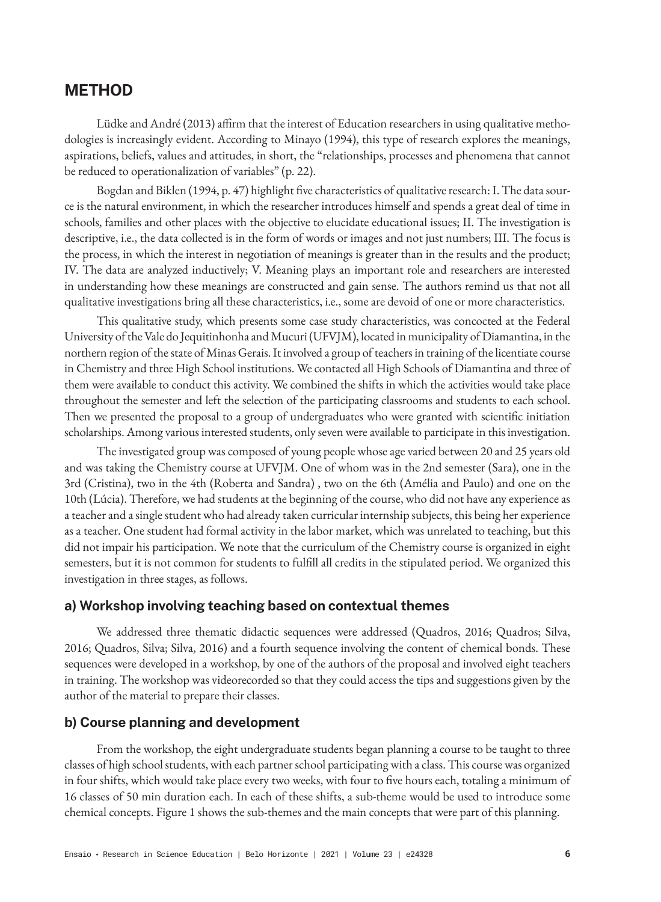# **METHOD**

Lüdke and André (2013) affirm that the interest of Education researchers in using qualitative methodologies is increasingly evident. According to Minayo (1994), this type of research explores the meanings, aspirations, beliefs, values and attitudes, in short, the "relationships, processes and phenomena that cannot be reduced to operationalization of variables" (p. 22).

Bogdan and Biklen (1994, p. 47) highlight five characteristics of qualitative research: I. The data source is the natural environment, in which the researcher introduces himself and spends a great deal of time in schools, families and other places with the objective to elucidate educational issues; II. The investigation is descriptive, i.e., the data collected is in the form of words or images and not just numbers; III. The focus is the process, in which the interest in negotiation of meanings is greater than in the results and the product; IV. The data are analyzed inductively; V. Meaning plays an important role and researchers are interested in understanding how these meanings are constructed and gain sense. The authors remind us that not all qualitative investigations bring all these characteristics, i.e., some are devoid of one or more characteristics.

This qualitative study, which presents some case study characteristics, was concocted at the Federal University of the Vale do Jequitinhonha and Mucuri (UFVJM), located in municipality of Diamantina, in the northern region of the state of Minas Gerais. It involved a group of teachers in training of the licentiate course in Chemistry and three High School institutions. We contacted all High Schools of Diamantina and three of them were available to conduct this activity. We combined the shifts in which the activities would take place throughout the semester and left the selection of the participating classrooms and students to each school. Then we presented the proposal to a group of undergraduates who were granted with scientific initiation scholarships. Among various interested students, only seven were available to participate in this investigation.

The investigated group was composed of young people whose age varied between 20 and 25 years old and was taking the Chemistry course at UFVJM. One of whom was in the 2nd semester (Sara), one in the 3rd (Cristina), two in the 4th (Roberta and Sandra) , two on the 6th (Amélia and Paulo) and one on the 10th (Lúcia). Therefore, we had students at the beginning of the course, who did not have any experience as a teacher and a single student who had already taken curricular internship subjects, this being her experience as a teacher. One student had formal activity in the labor market, which was unrelated to teaching, but this did not impair his participation. We note that the curriculum of the Chemistry course is organized in eight semesters, but it is not common for students to fulfill all credits in the stipulated period. We organized this investigation in three stages, as follows.

#### **a) Workshop involving teaching based on contextual themes**

We addressed three thematic didactic sequences were addressed (Quadros, 2016; Quadros; Silva, 2016; Quadros, Silva; Silva, 2016) and a fourth sequence involving the content of chemical bonds. These sequences were developed in a workshop, by one of the authors of the proposal and involved eight teachers in training. The workshop was videorecorded so that they could access the tips and suggestions given by the author of the material to prepare their classes.

### **b) Course planning and development**

From the workshop, the eight undergraduate students began planning a course to be taught to three classes of high school students, with each partner school participating with a class. This course was organized in four shifts, which would take place every two weeks, with four to five hours each, totaling a minimum of 16 classes of 50 min duration each. In each of these shifts, a sub-theme would be used to introduce some chemical concepts. Figure 1 shows the sub-themes and the main concepts that were part of this planning.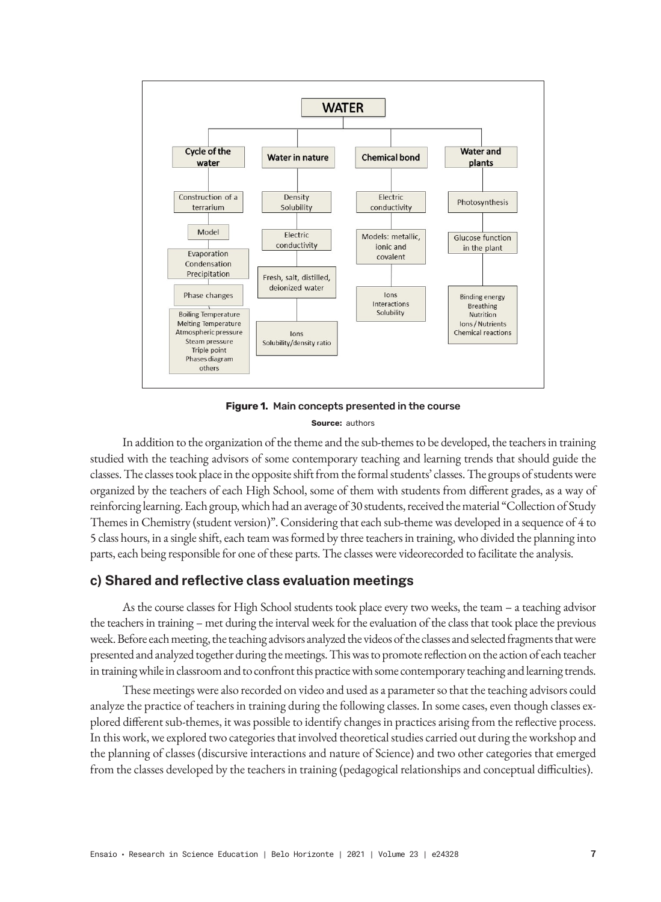

**Figure 1.** Main concepts presented in the course **Source:** authors

In addition to the organization of the theme and the sub-themes to be developed, the teachers in training studied with the teaching advisors of some contemporary teaching and learning trends that should guide the classes. The classes took place in the opposite shift from the formal students' classes. The groups of students were organized by the teachers of each High School, some of them with students from different grades, as a way of reinforcing learning. Each group, which had an average of 30 students, received the material "Collection of Study Themes in Chemistry (student version)". Considering that each sub-theme was developed in a sequence of 4 to 5 class hours, in a single shift, each team was formed by three teachers in training, who divided the planning into parts, each being responsible for one of these parts. The classes were videorecorded to facilitate the analysis.

## **c) Shared and reflective class evaluation meetings**

As the course classes for High School students took place every two weeks, the team – a teaching advisor the teachers in training – met during the interval week for the evaluation of the class that took place the previous week. Before each meeting, the teaching advisors analyzed the videos of the classes and selected fragments that were presented and analyzed together during the meetings. This was to promote reflection on the action of each teacher in training while in classroom and to confront this practice with some contemporary teaching and learning trends.

These meetings were also recorded on video and used as a parameter so that the teaching advisors could analyze the practice of teachers in training during the following classes. In some cases, even though classes explored different sub-themes, it was possible to identify changes in practices arising from the reflective process. In this work, we explored two categories that involved theoretical studies carried out during the workshop and the planning of classes (discursive interactions and nature of Science) and two other categories that emerged from the classes developed by the teachers in training (pedagogical relationships and conceptual difficulties).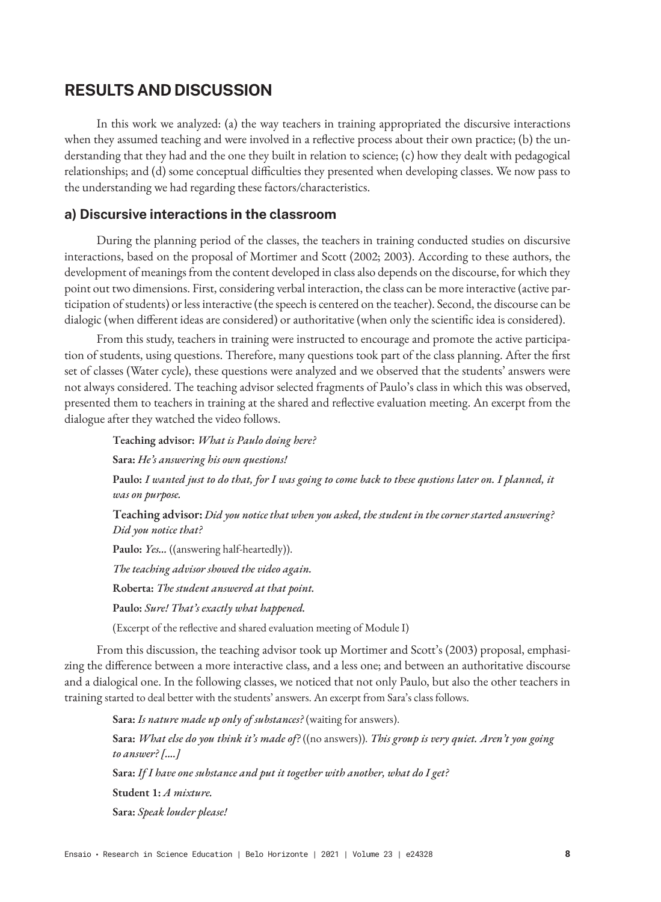# **RESULTS AND DISCUSSION**

In this work we analyzed: (a) the way teachers in training appropriated the discursive interactions when they assumed teaching and were involved in a reflective process about their own practice; (b) the understanding that they had and the one they built in relation to science; (c) how they dealt with pedagogical relationships; and (d) some conceptual difficulties they presented when developing classes. We now pass to the understanding we had regarding these factors/characteristics.

## **a) Discursive interactions in the classroom**

During the planning period of the classes, the teachers in training conducted studies on discursive interactions, based on the proposal of Mortimer and Scott (2002; 2003). According to these authors, the development of meanings from the content developed in class also depends on the discourse, for which they point out two dimensions. First, considering verbal interaction, the class can be more interactive (active participation of students) or less interactive (the speech is centered on the teacher). Second, the discourse can be dialogic (when different ideas are considered) or authoritative (when only the scientific idea is considered).

From this study, teachers in training were instructed to encourage and promote the active participation of students, using questions. Therefore, many questions took part of the class planning. After the first set of classes (Water cycle), these questions were analyzed and we observed that the students' answers were not always considered. The teaching advisor selected fragments of Paulo's class in which this was observed, presented them to teachers in training at the shared and reflective evaluation meeting. An excerpt from the dialogue after they watched the video follows.

**Teaching advisor:** *What is Paulo doing here?*

**Sara:** *He's answering his own questions!*

**Paulo:** *I wanted just to do that, for I was going to come back to these qustions later on. I planned, it was on purpose.*

**Teaching advisor:** *Did you notice that when you asked, the student in the corner started answering? Did you notice that?*

**Paulo:** *Yes...* ((answering half-heartedly)).

*The teaching advisor showed the video again.*

**Roberta:** *The student answered at that point.*

**Paulo:** *Sure! That's exactly what happened.*

(Excerpt of the reflective and shared evaluation meeting of Module I)

From this discussion, the teaching advisor took up Mortimer and Scott's (2003) proposal, emphasizing the difference between a more interactive class, and a less one; and between an authoritative discourse and a dialogical one. In the following classes, we noticed that not only Paulo, but also the other teachers in training started to deal better with the students' answers. An excerpt from Sara's class follows.

**Sara:** *Is nature made up only of substances?* (waiting for answers). **Sara:** *What else do you think it's made of?* ((no answers)). *This group is very quiet. Aren't you going to answer? [....]* **Sara:** *If I have one substance and put it together with another, what do I get?* **Student 1:** *A mixture.* **Sara:** *Speak louder please!*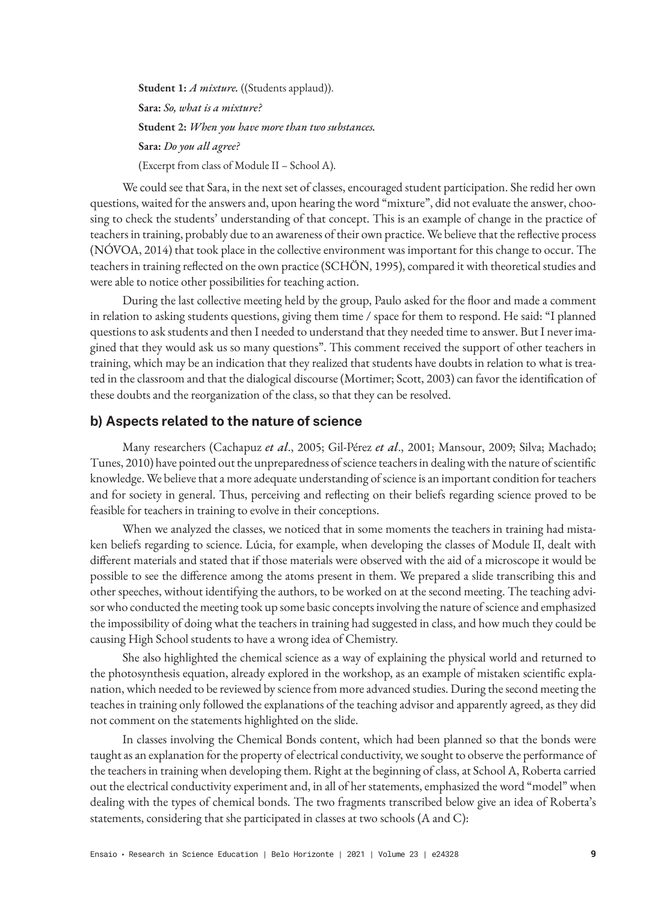Student 1: *A mixture.* ((Students applaud)). **Sara:** *So, what is a mixture?* **Student 2:** *When you have more than two substances.* **Sara:** *Do you all agree?* (Excerpt from class of Module II – School A).

We could see that Sara, in the next set of classes, encouraged student participation. She redid her own questions, waited for the answers and, upon hearing the word "mixture", did not evaluate the answer, choosing to check the students' understanding of that concept. This is an example of change in the practice of teachers in training, probably due to an awareness of their own practice. We believe that the reflective process (NÓVOA, 2014) that took place in the collective environment was important for this change to occur. The teachers in training reflected on the own practice (SCHÖN, 1995), compared it with theoretical studies and were able to notice other possibilities for teaching action.

During the last collective meeting held by the group, Paulo asked for the floor and made a comment in relation to asking students questions, giving them time / space for them to respond. He said: "I planned questions to ask students and then I needed to understand that they needed time to answer. But I never imagined that they would ask us so many questions". This comment received the support of other teachers in training, which may be an indication that they realized that students have doubts in relation to what is treated in the classroom and that the dialogical discourse (Mortimer; Scott, 2003) can favor the identification of these doubts and the reorganization of the class, so that they can be resolved.

## **b) Aspects related to the nature of science**

Many researchers (Cachapuz *et al*., 2005; Gil-Pérez *et al*., 2001; Mansour, 2009; Silva; Machado; Tunes, 2010) have pointed out the unpreparedness of science teachers in dealing with the nature of scientific knowledge. We believe that a more adequate understanding of science is an important condition for teachers and for society in general. Thus, perceiving and reflecting on their beliefs regarding science proved to be feasible for teachers in training to evolve in their conceptions.

When we analyzed the classes, we noticed that in some moments the teachers in training had mistaken beliefs regarding to science. Lúcia, for example, when developing the classes of Module II, dealt with different materials and stated that if those materials were observed with the aid of a microscope it would be possible to see the difference among the atoms present in them. We prepared a slide transcribing this and other speeches, without identifying the authors, to be worked on at the second meeting. The teaching advisor who conducted the meeting took up some basic concepts involving the nature of science and emphasized the impossibility of doing what the teachers in training had suggested in class, and how much they could be causing High School students to have a wrong idea of Chemistry.

She also highlighted the chemical science as a way of explaining the physical world and returned to the photosynthesis equation, already explored in the workshop, as an example of mistaken scientific explanation, which needed to be reviewed by science from more advanced studies. During the second meeting the teaches in training only followed the explanations of the teaching advisor and apparently agreed, as they did not comment on the statements highlighted on the slide.

In classes involving the Chemical Bonds content, which had been planned so that the bonds were taught as an explanation for the property of electrical conductivity, we sought to observe the performance of the teachers in training when developing them. Right at the beginning of class, at School A, Roberta carried out the electrical conductivity experiment and, in all of her statements, emphasized the word "model" when dealing with the types of chemical bonds. The two fragments transcribed below give an idea of Roberta's statements, considering that she participated in classes at two schools (A and C):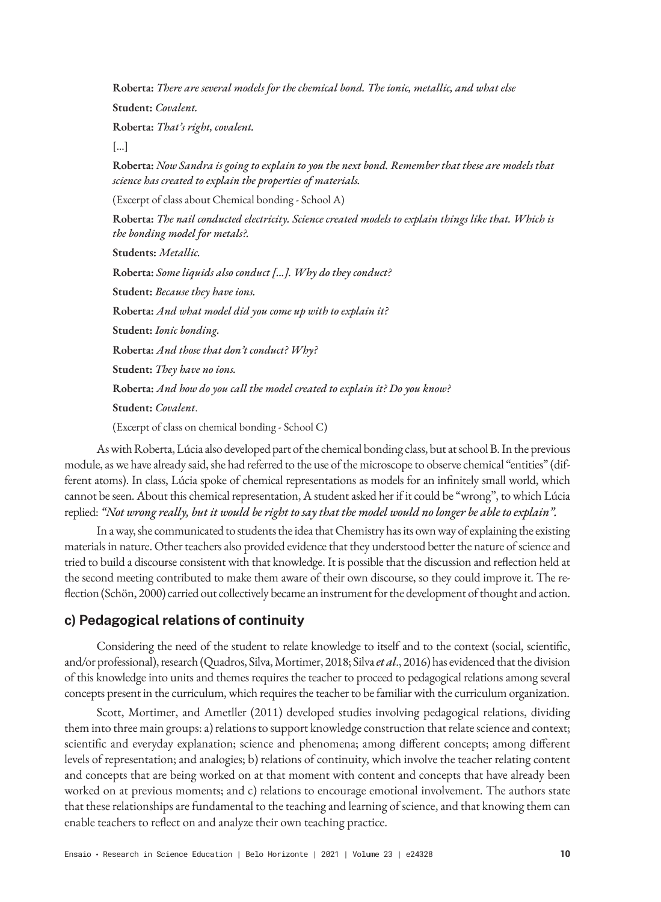**Roberta:** *There are several models for the chemical bond. The ionic, metallic, and what else*

**Student:** *Covalent.*

**Roberta:** *That's right, covalent.*

[...]

**Roberta:** *Now Sandra is going to explain to you the next bond. Remember that these are models that science has created to explain the properties of materials.*

(Excerpt of class about Chemical bonding - School A)

**Roberta:** *The nail conducted electricity. Science created models to explain things like that. Which is the bonding model for metals?.*

**Students:** *Metallic.*

**Roberta:** *Some liquids also conduct [...]. Why do they conduct?*

**Student:** *Because they have ions.*

**Roberta:** *And what model did you come up with to explain it?*

**Student:** *Ionic bonding.*

**Roberta:** *And those that don't conduct? Why?*

**Student:** *They have no ions.*

**Roberta:** *And how do you call the model created to explain it? Do you know?*

**Student:** *Covalent*.

(Excerpt of class on chemical bonding - School C)

As with Roberta, Lúcia also developed part of the chemical bonding class, but at school B. In the previous module, as we have already said, she had referred to the use of the microscope to observe chemical "entities" (different atoms). In class, Lúcia spoke of chemical representations as models for an infinitely small world, which cannot be seen. About this chemical representation, A student asked her if it could be "wrong", to which Lúcia replied: *"Not wrong really, but it would be right to say that the model would no longer be able to explain".*

In a way, she communicated to students the idea that Chemistry has its own way of explaining the existing materials in nature. Other teachers also provided evidence that they understood better the nature of science and tried to build a discourse consistent with that knowledge. It is possible that the discussion and reflection held at the second meeting contributed to make them aware of their own discourse, so they could improve it. The reflection (Schön, 2000) carried out collectively became an instrument for the development of thought and action.

## **c) Pedagogical relations of continuity**

Considering the need of the student to relate knowledge to itself and to the context (social, scientific, and/or professional), research (Quadros, Silva, Mortimer, 2018; Silva *et al*., 2016) has evidenced that the division of this knowledge into units and themes requires the teacher to proceed to pedagogical relations among several concepts present in the curriculum, which requires the teacher to be familiar with the curriculum organization.

Scott, Mortimer, and Ametller (2011) developed studies involving pedagogical relations, dividing them into three main groups: a) relations to support knowledge construction that relate science and context; scientific and everyday explanation; science and phenomena; among different concepts; among different levels of representation; and analogies; b) relations of continuity, which involve the teacher relating content and concepts that are being worked on at that moment with content and concepts that have already been worked on at previous moments; and c) relations to encourage emotional involvement. The authors state that these relationships are fundamental to the teaching and learning of science, and that knowing them can enable teachers to reflect on and analyze their own teaching practice.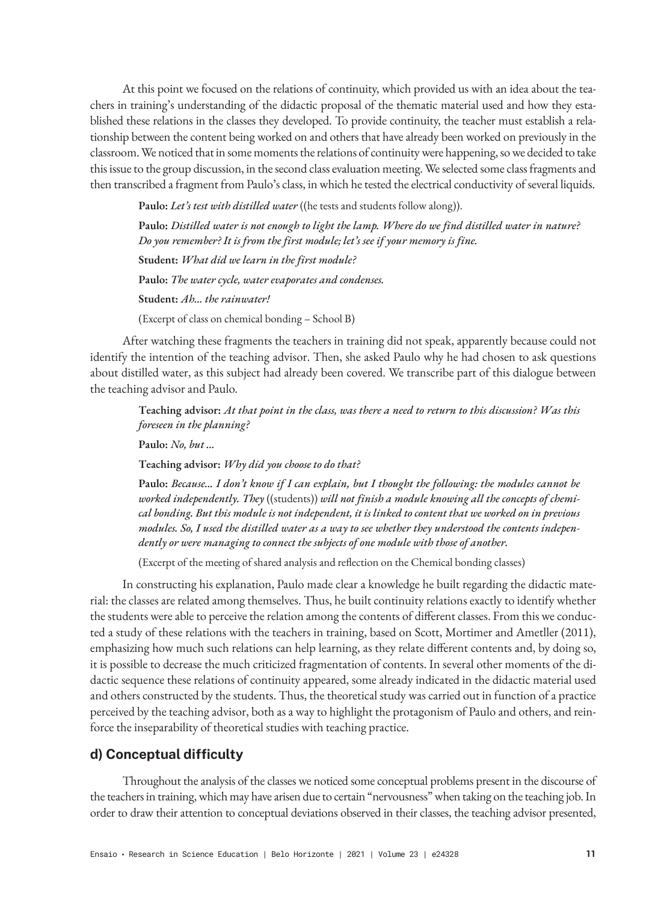At this point we focused on the relations of continuity, which provided us with an idea about the teachers in training's understanding of the didactic proposal of the thematic material used and how they established these relations in the classes they developed. To provide continuity, the teacher must establish a relationship between the content being worked on and others that have already been worked on previously in the classroom. We noticed that in some moments the relations of continuity were happening, so we decided to take this issue to the group discussion, in the second class evaluation meeting. We selected some class fragments and then transcribed a fragment from Paulo's class, in which he tested the electrical conductivity of several liquids.

**Paulo:** *Let's test with distilled water* ((he tests and students follow along)).

**Paulo:** *Distilled water is not enough to light the lamp. Where do we find distilled water in nature? Do you remember? It is from the first module; let's see if your memory is fine.* **Student:** *What did we learn in the first module?* **Paulo:** *The water cycle, water evaporates and condenses.* **Student:** *Ah... the rainwater!* (Excerpt of class on chemical bonding – School B)

After watching these fragments the teachers in training did not speak, apparently because could not identify the intention of the teaching advisor. Then, she asked Paulo why he had chosen to ask questions about distilled water, as this subject had already been covered. We transcribe part of this dialogue between the teaching advisor and Paulo.

**Teaching advisor:** *At that point in the class, was there a need to return to this discussion? Was this foreseen in the planning?*

**Paulo:** *No, but ...*

**Teaching advisor:** *Why did you choose to do that?*

**Paulo:** *Because... I don't know if I can explain, but I thought the following: the modules cannot be worked independently. They* ((students)) *will not finish a module knowing all the concepts of chemical bonding. But this module is not independent, it is linked to content that we worked on in previous modules. So, I used the distilled water as a way to see whether they understood the contents independently or were managing to connect the subjects of one module with those of another.*

(Excerpt of the meeting of shared analysis and reflection on the Chemical bonding classes)

In constructing his explanation, Paulo made clear a knowledge he built regarding the didactic material: the classes are related among themselves. Thus, he built continuity relations exactly to identify whether the students were able to perceive the relation among the contents of different classes. From this we conducted a study of these relations with the teachers in training, based on Scott, Mortimer and Ametller (2011), emphasizing how much such relations can help learning, as they relate different contents and, by doing so, it is possible to decrease the much criticized fragmentation of contents. In several other moments of the didactic sequence these relations of continuity appeared, some already indicated in the didactic material used and others constructed by the students. Thus, the theoretical study was carried out in function of a practice perceived by the teaching advisor, both as a way to highlight the protagonism of Paulo and others, and reinforce the inseparability of theoretical studies with teaching practice.

## **d) Conceptual difficulty**

Throughout the analysis of the classes we noticed some conceptual problems present in the discourse of the teachers in training, which may have arisen due to certain "nervousness" when taking on the teaching job. In order to draw their attention to conceptual deviations observed in their classes, the teaching advisor presented,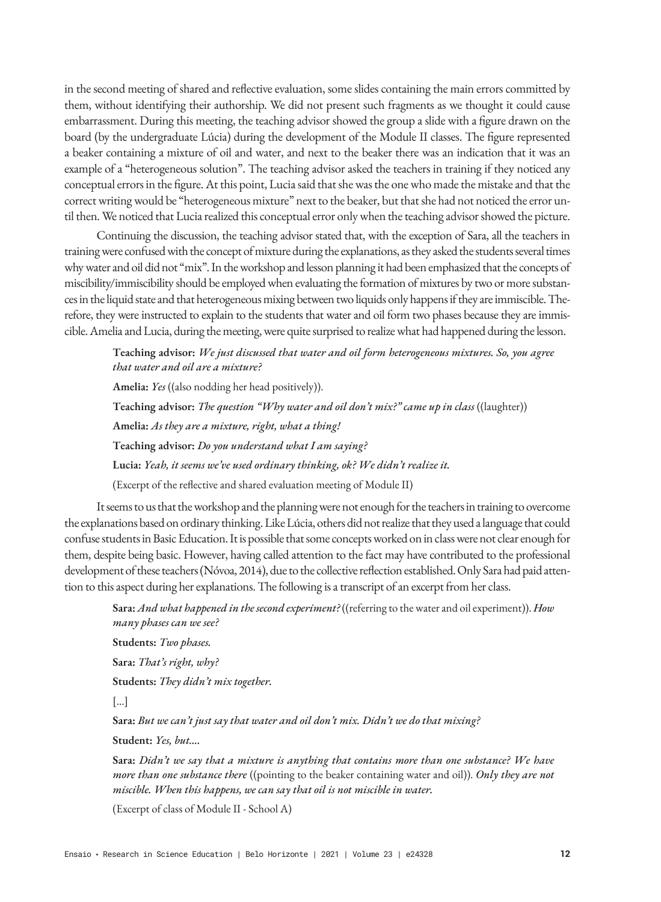in the second meeting of shared and reflective evaluation, some slides containing the main errors committed by them, without identifying their authorship. We did not present such fragments as we thought it could cause embarrassment. During this meeting, the teaching advisor showed the group a slide with a figure drawn on the board (by the undergraduate Lúcia) during the development of the Module II classes. The figure represented a beaker containing a mixture of oil and water, and next to the beaker there was an indication that it was an example of a "heterogeneous solution". The teaching advisor asked the teachers in training if they noticed any conceptual errors in the figure. At this point, Lucia said that she was the one who made the mistake and that the correct writing would be "heterogeneous mixture" next to the beaker, but that she had not noticed the error until then. We noticed that Lucia realized this conceptual error only when the teaching advisor showed the picture.

Continuing the discussion, the teaching advisor stated that, with the exception of Sara, all the teachers in training were confused with the concept of mixture during the explanations, as they asked the students several times why water and oil did not "mix". In the workshop and lesson planning it had been emphasized that the concepts of miscibility/immiscibility should be employed when evaluating the formation of mixtures by two or more substances in the liquid state and that heterogeneous mixing between two liquids only happens if they are immiscible. Therefore, they were instructed to explain to the students that water and oil form two phases because they are immiscible. Amelia and Lucia, during the meeting, were quite surprised to realize what had happened during the lesson.

**Teaching advisor:** *We just discussed that water and oil form heterogeneous mixtures. So, you agree that water and oil are a mixture?*

**Amelia:** *Yes* ((also nodding her head positively)). **Teaching advisor:** *The question "Why water and oil don't mix?" came up in class* ((laughter)) **Amelia:** *As they are a mixture, right, what a thing!* **Teaching advisor:** *Do you understand what I am saying?* **Lucia:** *Yeah, it seems we've used ordinary thinking, ok? We didn't realize it.* (Excerpt of the reflective and shared evaluation meeting of Module II)

It seems to us that the workshop and the planning were not enough for the teachers in training to overcome the explanations based on ordinary thinking. Like Lúcia, others did not realize that they used a language that could confuse students in Basic Education. It is possible that some concepts worked on in class were not clear enough for them, despite being basic. However, having called attention to the fact may have contributed to the professional development of these teachers (Nóvoa, 2014), due to the collective reflection established. Only Sara had paid attention to this aspect during her explanations. The following is a transcript of an excerpt from her class.

**Sara:** *And what happened in the second experiment?* ((referring to the water and oil experiment)). *How many phases can we see?*

**Students:** *Two phases.*

**Sara:** *That's right, why?*

**Students:** *They didn't mix together.*

[...]

**Sara:** *But we can't just say that water and oil don't mix. Didn't we do that mixing?*

**Student:** *Yes, but….*

**Sara:** *Didn't we say that a mixture is anything that contains more than one substance? We have more than one substance there* ((pointing to the beaker containing water and oil)). *Only they are not miscible. When this happens, we can say that oil is not miscible in water.*

(Excerpt of class of Module II - School A)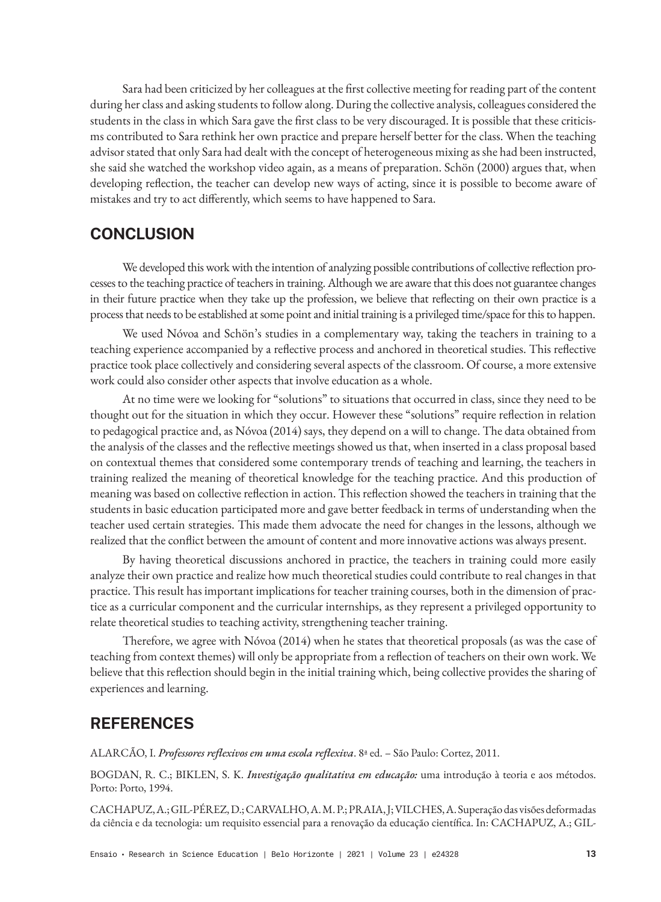Sara had been criticized by her colleagues at the first collective meeting for reading part of the content during her class and asking students to follow along. During the collective analysis, colleagues considered the students in the class in which Sara gave the first class to be very discouraged. It is possible that these criticisms contributed to Sara rethink her own practice and prepare herself better for the class. When the teaching advisor stated that only Sara had dealt with the concept of heterogeneous mixing as she had been instructed, she said she watched the workshop video again, as a means of preparation. Schön (2000) argues that, when developing reflection, the teacher can develop new ways of acting, since it is possible to become aware of mistakes and try to act differently, which seems to have happened to Sara.

# **CONCLUSION**

We developed this work with the intention of analyzing possible contributions of collective reflection processes to the teaching practice of teachers in training. Although we are aware that this does not guarantee changes in their future practice when they take up the profession, we believe that reflecting on their own practice is a process that needs to be established at some point and initial training is a privileged time/space for this to happen.

We used Nóvoa and Schön's studies in a complementary way, taking the teachers in training to a teaching experience accompanied by a reflective process and anchored in theoretical studies. This reflective practice took place collectively and considering several aspects of the classroom. Of course, a more extensive work could also consider other aspects that involve education as a whole.

At no time were we looking for "solutions" to situations that occurred in class, since they need to be thought out for the situation in which they occur. However these "solutions" require reflection in relation to pedagogical practice and, as Nóvoa (2014) says, they depend on a will to change. The data obtained from the analysis of the classes and the reflective meetings showed us that, when inserted in a class proposal based on contextual themes that considered some contemporary trends of teaching and learning, the teachers in training realized the meaning of theoretical knowledge for the teaching practice. And this production of meaning was based on collective reflection in action. This reflection showed the teachers in training that the students in basic education participated more and gave better feedback in terms of understanding when the teacher used certain strategies. This made them advocate the need for changes in the lessons, although we realized that the conflict between the amount of content and more innovative actions was always present.

By having theoretical discussions anchored in practice, the teachers in training could more easily analyze their own practice and realize how much theoretical studies could contribute to real changes in that practice. This result has important implications for teacher training courses, both in the dimension of practice as a curricular component and the curricular internships, as they represent a privileged opportunity to relate theoretical studies to teaching activity, strengthening teacher training.

Therefore, we agree with Nóvoa (2014) when he states that theoretical proposals (as was the case of teaching from context themes) will only be appropriate from a reflection of teachers on their own work. We believe that this reflection should begin in the initial training which, being collective provides the sharing of experiences and learning.

# **REFERENCES**

ALARCÃO, I. *Professores reflexivos em uma escola reflexiva*. 8ª ed. – São Paulo: Cortez, 2011.

BOGDAN, R. C.; BIKLEN, S. K. *Investigação qualitativa em educação:* uma introdução à teoria e aos métodos. Porto: Porto, 1994.

CACHAPUZ, A.; GIL-PÉREZ, D.; CARVALHO, A. M. P.; PRAIA, J; VILCHES, A. Superação das visões deformadas da ciência e da tecnologia: um requisito essencial para a renovação da educação científica. In: CACHAPUZ, A.; GIL-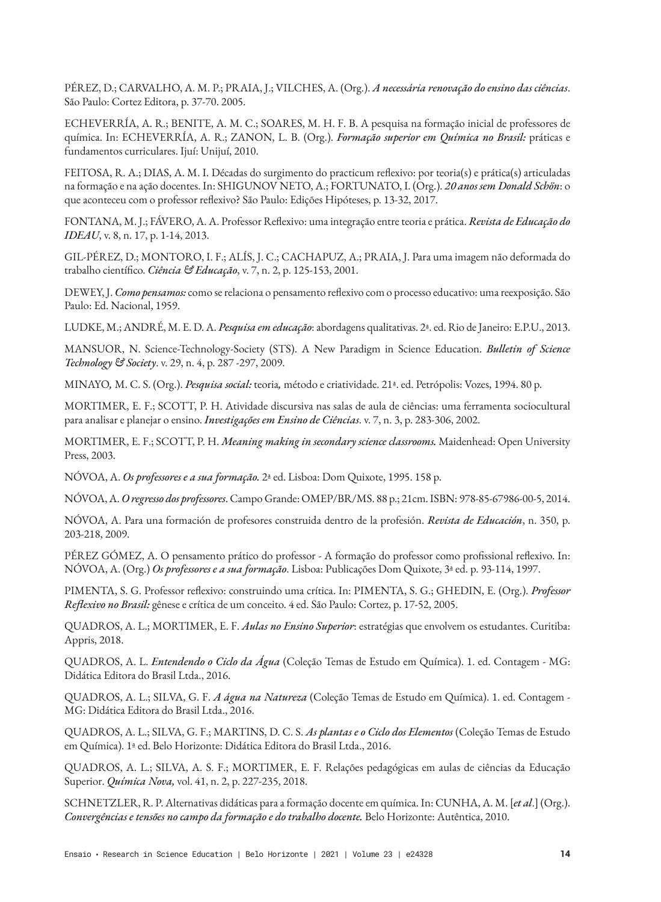PÉREZ, D.; CARVALHO, A. M. P.; PRAIA, J.; VILCHES, A. (Org.). *A necessária renovação do ensino das ciências*. São Paulo: Cortez Editora, p. 37-70. 2005.

ECHEVERRÍA, A. R.; BENITE, A. M. C.; SOARES, M. H. F. B. A pesquisa na formação inicial de professores de química. In: ECHEVERRÍA, A. R.; ZANON, L. B. (Org.). *Formação superior em Química no Brasil:* práticas e fundamentos curriculares. Ijuí: Unijuí, 2010.

FEITOSA, R. A.; DIAS, A. M. I. Décadas do surgimento do practicum reflexivo: por teoria(s) e prática(s) articuladas na formação e na ação docentes. In: SHIGUNOV NETO, A.; FORTUNATO, I. (Org.). *20 anos sem Donald Schön*: o que aconteceu com o professor reflexivo? São Paulo: Edições Hipóteses, p. 13-32, 2017.

FONTANA, M. J.; FÁVERO, A. A. Professor Reflexivo: uma integração entre teoria e prática. *Revista de Educação do IDEAU*, v. 8, n. 17, p. 1-14, 2013.

GIL-PÉREZ, D.; MONTORO, I. F.; ALÍS, J. C.; CACHAPUZ, A.; PRAIA, J. Para uma imagem não deformada do trabalho científico. *Ciência & Educação*, v. 7, n. 2, p. 125-153, 2001.

DEWEY, J. *Como pensamos:* como se relaciona o pensamento reflexivo com o processo educativo: uma reexposição. São Paulo: Ed. Nacional, 1959.

LUDKE, M.; ANDRÉ, M. E. D. A. *Pesquisa em educação*: abordagens qualitativas. 2ª. ed. Rio de Janeiro: E.P.U., 2013.

MANSUOR, N. Science-Technology-Society (STS). A New Paradigm in Science Education. *Bulletin of Science Technology & Society*. v. 29, n. 4, p. 287 -297, 2009.

MINAYO*,* M. C. S. (Org.). *Pesquisa social:* teoria*,* método e criatividade. 21ª. ed. Petrópolis: Vozes, 1994. 80 p.

MORTIMER, E. F.; SCOTT, P. H. Atividade discursiva nas salas de aula de ciências: uma ferramenta sociocultural para analisar e planejar o ensino. *Investigações em Ensino de Ciências*. v. 7, n. 3, p. 283-306, 2002.

MORTIMER, E. F.; SCOTT, P. H. *Meaning making in secondary science classrooms.* Maidenhead: Open University Press, 2003.

NÓVOA, A. *Os professores e a sua formação.* 2ª ed. Lisboa: Dom Quixote, 1995. 158 p.

NÓVOA, A. *O regresso dos professores*. Campo Grande: OMEP/BR/MS. 88 p.; 21cm. ISBN: 978-85-67986-00-5, 2014.

NÓVOA, A. Para una formación de profesores construida dentro de la profesión. *Revista de Educación*, n. 350, p. 203-218, 2009.

PÉREZ GÓMEZ, A. O pensamento prático do professor - A formação do professor como profissional reflexivo. In: NÓVOA, A. (Org.) *Os professores e a sua formação*. Lisboa: Publicações Dom Quixote, 3ª ed. p. 93-114, 1997.

PIMENTA, S. G. Professor reflexivo: construindo uma crítica. In: PIMENTA, S. G.; GHEDIN, E. (Org.). *Professor Reflexivo no Brasil:* gênese e crítica de um conceito. 4 ed. São Paulo: Cortez, p. 17-52, 2005.

QUADROS, A. L.; MORTIMER, E. F. *Aulas no Ensino Superior*: estratégias que envolvem os estudantes. Curitiba: Appris, 2018.

QUADROS, A. L. *Entendendo o Ciclo da Água* (Coleção Temas de Estudo em Química). 1. ed. Contagem - MG: Didática Editora do Brasil Ltda., 2016.

QUADROS, A. L.; SILVA, G. F. *A água na Natureza* (Coleção Temas de Estudo em Química). 1. ed. Contagem - MG: Didática Editora do Brasil Ltda., 2016.

QUADROS, A. L.; SILVA, G. F.; MARTINS, D. C. S. *As plantas e o Ciclo dos Elementos* (Coleção Temas de Estudo em Química). 1ª ed. Belo Horizonte: Didática Editora do Brasil Ltda., 2016.

QUADROS, A. L.; SILVA, A. S. F.; MORTIMER, E. F. Relações pedagógicas em aulas de ciências da Educação Superior. *Química Nova,* vol. 41, n. 2, p. 227-235, 2018.

SCHNETZLER, R. P. Alternativas didáticas para a formação docente em química. In: CUNHA, A. M. [*et al*.] (Org.). *Convergências e tensões no campo da formação e do trabalho docente.* Belo Horizonte: Autêntica, 2010.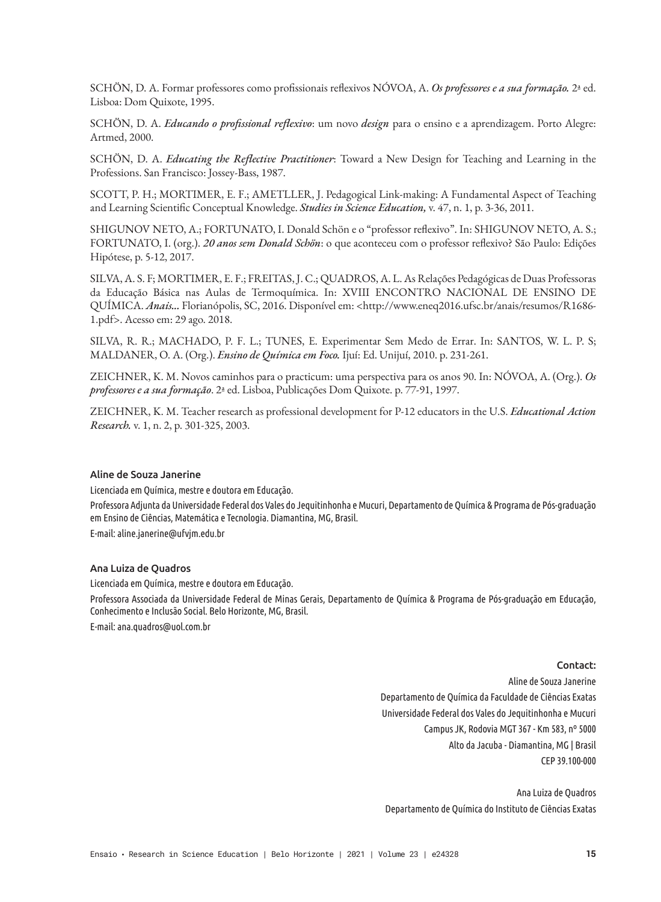SCHÖN, D. A. Formar professores como profissionais reflexivos NÓVOA, A. *Os professores e a sua formação.* 2ª ed. Lisboa: Dom Quixote, 1995.

SCHÖN, D. A. *Educando o profissional reflexivo*: um novo *design* para o ensino e a aprendizagem. Porto Alegre: Artmed, 2000.

SCHÖN, D. A. *Educating the Reflective Practitioner*: Toward a New Design for Teaching and Learning in the Professions. San Francisco: Jossey-Bass, 1987.

SCOTT, P. H.; MORTIMER, E. F.; AMETLLER, J. Pedagogical Link-making: A Fundamental Aspect of Teaching and Learning Scientific Conceptual Knowledge. *Studies in Science Education,* v. 47, n. 1, p. 3-36, 2011.

SHIGUNOV NETO, A.; FORTUNATO, I. Donald Schön e o "professor reflexivo". In: SHIGUNOV NETO, A. S.; FORTUNATO, I. (org.). *20 anos sem Donald Schön*: o que aconteceu com o professor reflexivo? São Paulo: Edições Hipótese, p. 5-12, 2017.

SILVA, A. S. F; MORTIMER, E. F.; FREITAS, J. C.; QUADROS, A. L. As Relações Pedagógicas de Duas Professoras da Educação Básica nas Aulas de Termoquímica. In: XVIII ENCONTRO NACIONAL DE ENSINO DE QUÍMICA. *Anais...* Florianópolis, SC, 2016. Disponível em: <http://www.eneq2016.ufsc.br/anais/resumos/R1686- 1.pdf>. Acesso em: 29 ago. 2018.

SILVA, R. R.; MACHADO, P. F. L.; TUNES, E. Experimentar Sem Medo de Errar. In: SANTOS, W. L. P. S; MALDANER, O. A. (Org.). *Ensino de Química em Foco.* Ijuí: Ed. Unijuí, 2010. p. 231-261.

ZEICHNER, K. M. Novos caminhos para o practicum: uma perspectiva para os anos 90. In: NÓVOA, A. (Org.). *Os professores e a sua formação*. 2ª ed. Lisboa, Publicações Dom Quixote. p. 77-91, 1997.

ZEICHNER, K. M. Teacher research as professional development for P-12 educators in the U.S. *Educational Action Research.* v. 1, n. 2, p. 301-325, 2003.

#### Aline de Souza Janerine

Licenciada em Química, mestre e doutora em Educação.

Professora Adjunta da Universidade Federal dos Vales do Jequitinhonha e Mucuri, Departamento de Química & Programa de Pós-graduação em Ensino de Ciências, Matemática e Tecnologia. Diamantina, MG, Brasil.

E-mail: aline.janerine@ufvjm.edu.br

#### Ana Luiza de Quadros

Licenciada em Química, mestre e doutora em Educação.

Professora Associada da Universidade Federal de Minas Gerais, Departamento de Química & Programa de Pós-graduação em Educação, Conhecimento e Inclusão Social. Belo Horizonte, MG, Brasil.

E-mail: ana.quadros@uol.com.br

#### Contact:

Aline de Souza Janerine Departamento de Química da Faculdade de Ciências Exatas Universidade Federal dos Vales do Jequitinhonha e Mucuri Campus JK, Rodovia MGT 367 - Km 583, nº 5000 Alto da Jacuba - Diamantina, MG | Brasil CEP 39.100-000

Ana Luiza de Quadros Departamento de Química do Instituto de Ciências Exatas